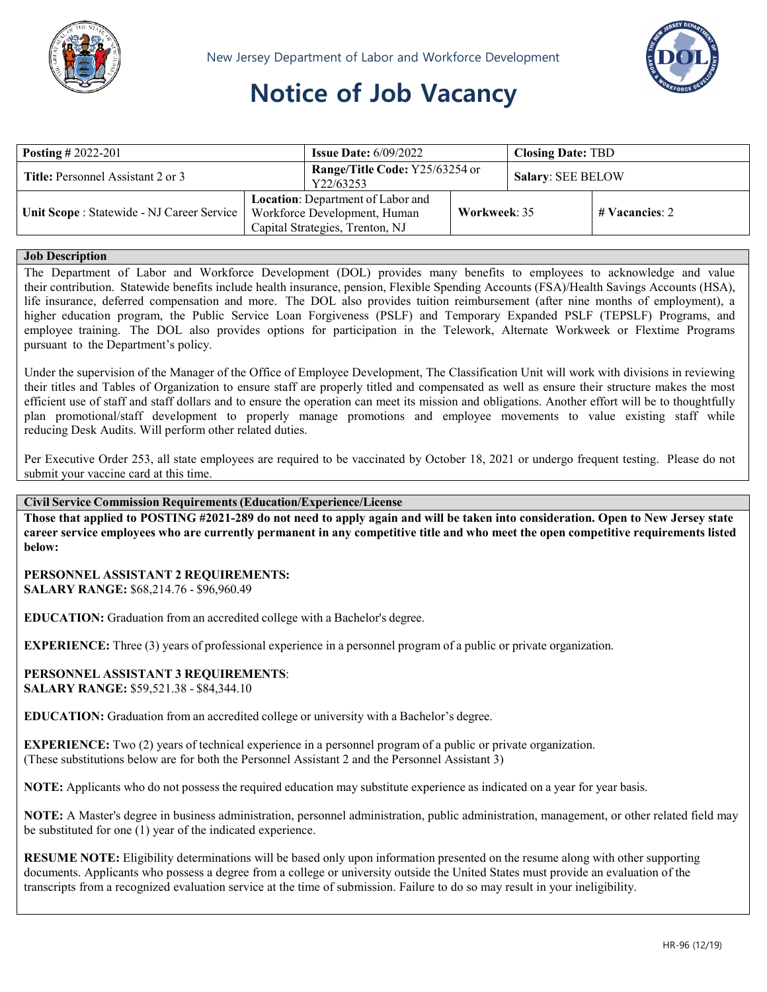



# **Notice of Job Vacancy**

| <b>Posting</b> # 2022-201                  |                                                                                                      | <b>Issue Date:</b> $6/09/2022$              |              | <b>Closing Date: TBD</b> |                  |
|--------------------------------------------|------------------------------------------------------------------------------------------------------|---------------------------------------------|--------------|--------------------------|------------------|
| Title: Personnel Assistant 2 or 3          |                                                                                                      | Range/Title Code: Y25/63254 or<br>Y22/63253 |              | Salary: SEE BELOW        |                  |
| Unit Scope : Statewide - NJ Career Service | Location: Department of Labor and<br>Workforce Development, Human<br>Capital Strategies, Trenton, NJ |                                             | Workweek: 35 |                          | $#$ Vacancies: 2 |

## **Job Description**

The Department of Labor and Workforce Development (DOL) provides many benefits to employees to acknowledge and value their contribution. Statewide benefits include health insurance, pension, Flexible Spending Accounts (FSA)/Health Savings Accounts (HSA), life insurance, deferred compensation and more. The DOL also provides tuition reimbursement (after nine months of employment), a higher education program, the Public Service Loan Forgiveness (PSLF) and Temporary Expanded PSLF (TEPSLF) Programs, and employee training. The DOL also provides options for participation in the Telework, Alternate Workweek or Flextime Programs pursuant to the Department's policy.

Under the supervision of the Manager of the Office of Employee Development, The Classification Unit will work with divisions in reviewing their titles and Tables of Organization to ensure staff are properly titled and compensated as well as ensure their structure makes the most efficient use of staff and staff dollars and to ensure the operation can meet its mission and obligations. Another effort will be to thoughtfully plan promotional/staff development to properly manage promotions and employee movements to value existing staff while reducing Desk Audits. Will perform other related duties.

Per Executive Order 253, all state employees are required to be vaccinated by October 18, 2021 or undergo frequent testing. Please do not submit your vaccine card at this time.

#### **Civil Service Commission Requirements (Education/Experience/License**

**Those that applied to POSTING #2021-289 do not need to apply again and will be taken into consideration. Open to New Jersey state**  career service employees who are currently permanent in any competitive title and who meet the open competitive requirements listed **below:**

#### **PERSONNEL ASSISTANT 2 REQUIREMENTS: SALARY RANGE:** \$68,214.76 - \$96,960.49

**EDUCATION:** Graduation from an accredited college with a Bachelor's degree.

**EXPERIENCE:** Three (3) years of professional experience in a personnel program of a public or private organization.

**PERSONNEL ASSISTANT 3 REQUIREMENTS**: **SALARY RANGE:** \$59,521.38 - \$84,344.10

**EDUCATION:** Graduation from an accredited college or university with a Bachelor's degree.

**EXPERIENCE:** Two (2) years of technical experience in a personnel program of a public or private organization. (These substitutions below are for both the Personnel Assistant 2 and the Personnel Assistant 3)

**NOTE:** Applicants who do not possess the required education may substitute experience as indicated on a year for year basis.

**NOTE:** A Master's degree in business administration, personnel administration, public administration, management, or other related field may be substituted for one (1) year of the indicated experience.

**RESUME NOTE:** Eligibility determinations will be based only upon information presented on the resume along with other supporting documents. Applicants who possess a degree from a college or university outside the United States must provide an evaluation of the transcripts from a recognized evaluation service at the time of submission. Failure to do so may result in your ineligibility.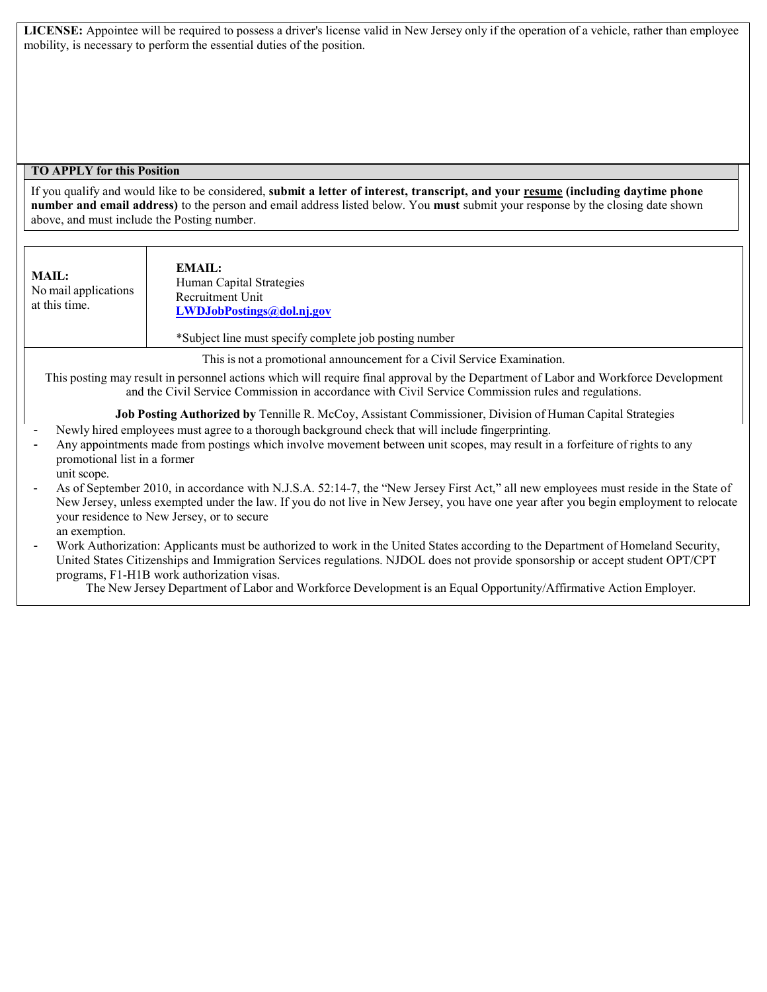**LICENSE:** Appointee will be required to possess a driver's license valid in New Jersey only if the operation of a vehicle, rather than employee mobility, is necessary to perform the essential duties of the position.

## **TO APPLY for this Position**

If you qualify and would like to be considered, **submit a letter of interest, transcript, and your resume (including daytime phone number and email address)** to the person and email address listed below. You **must** submit your response by the closing date shown above, and must include the Posting number.

| MAIL:<br>No mail applications<br>at this time. | EMAIL:<br>Human Capital Strategies<br>Recruitment Unit<br>LWDJobPostings@dol.nj.gov |
|------------------------------------------------|-------------------------------------------------------------------------------------|
|                                                | *Subject line must specify complete job posting number                              |

This is not a promotional announcement for a Civil Service Examination.

This posting may result in personnel actions which will require final approval by the Department of Labor and Workforce Development and the Civil Service Commission in accordance with Civil Service Commission rules and regulations.

**Job Posting Authorized by** Tennille R. McCoy, Assistant Commissioner, Division of Human Capital Strategies

- Newly hired employees must agree to a thorough background check that will include fingerprinting.
- Any appointments made from postings which involve movement between unit scopes, may result in a forfeiture of rights to any promotional list in a former
- unit scope.
- As of September 2010, in accordance with N.J.S.A. 52:14-7, the "New Jersey First Act," all new employees must reside in the State of New Jersey, unless exempted under the law. If you do not live in New Jersey, you have one year after you begin employment to relocate your residence to New Jersey, or to secure an exemption.
- Work Authorization: Applicants must be authorized to work in the United States according to the Department of Homeland Security, United States Citizenships and Immigration Services regulations. NJDOL does not provide sponsorship or accept student OPT/CPT programs, F1-H1B work authorization visas.

The New Jersey Department of Labor and Workforce Development is an Equal Opportunity/Affirmative Action Employer.